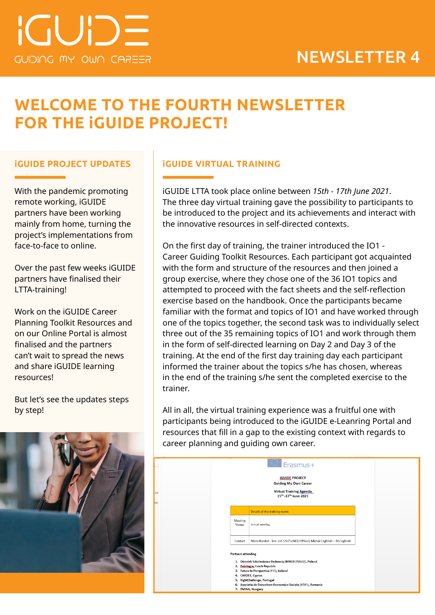# **WELCOME TO THE FOURTH NEWSLETTER FOR THE iGUIDE PROJECT!**

With the pandemic promoting remote working, iGUIDE partners have been working mainly from home, turning the project's implementations from face-to-face to online.

Over the past few weeks iGUIDE partners have finalised their LTTA-training!

Work on the iGUIDE Career Planning Toolkit Resources and on our Online Portal is almost finalised and the partners can't wait to spread the news and share iGUIDE learning resources!

But let's see the updates steps by step!



## **iGUIDE PROJECT UPDATES iGUIDE VIRTUAL TRAINING**

iGUIDE LTTA took place online between *15th - 17th June 2021*. The three day virtual training gave the possibility to participants to be introduced to the project and its achievements and interact with the innovative resources in self-directed contexts.

On the first day of training, the trainer introduced the IO1 - Career Guiding Toolkit Resources. Each participant got acquainted with the form and structure of the resources and then joined a group exercise, where they chose one of the 36 IO1 topics and attempted to proceed with the fact sheets and the self-reflection exercise based on the handbook. Once the participants became familiar with the format and topics of IO1 and have worked through one of the topics together, the second task was to individually select three out of the 35 remaining topics of IO1 and work through them in the form of self-directed learning on Day 2 and Day 3 of the training. At the end of the first day training day each participant informed the trainer about the topics s/he has chosen, whereas in the end of the training s/he sent the completed exercise to the trainer.

All in all, the virtual training experience was a fruitful one with participants being introduced to the iGUIDE e-Leanring Portal and resources that fill in a gap to the existing context with regards to career planning and guiding own career.

| ٦<br>are<br>ply | <b>Erasmus+</b><br><b>IGUIDE PROJECT</b><br><b>Guiding My Own Career</b><br><b>Virtual Training Agenda</b><br>15th -17th June 2021                                                                                                                                                                     |  |
|-----------------|--------------------------------------------------------------------------------------------------------------------------------------------------------------------------------------------------------------------------------------------------------------------------------------------------------|--|
|                 | Details of the training event:                                                                                                                                                                                                                                                                         |  |
|                 | <b>Meeting</b><br>Venue<br>Virtual meeting                                                                                                                                                                                                                                                             |  |
|                 | Maria Kordoń - live:.cid.57e75e94333956a3, Michał Cegliński - M.Ceglinski<br>Contact                                                                                                                                                                                                                   |  |
|                 | <b>Partners attending</b><br>1. Ośrodek Szkoleniowo-Badawczy INNEO (INNEO), Poland<br>2. Reintegra, Czech Republic<br>3. Future In Perspective (FIP), Ireland<br>4. CARDET, Cyprus<br>5. RightChallenge, Portugal<br>6. Asociatia de Dezvoltare Economico-Sociala (ADES), Romania<br>7. EMINA, Hungary |  |